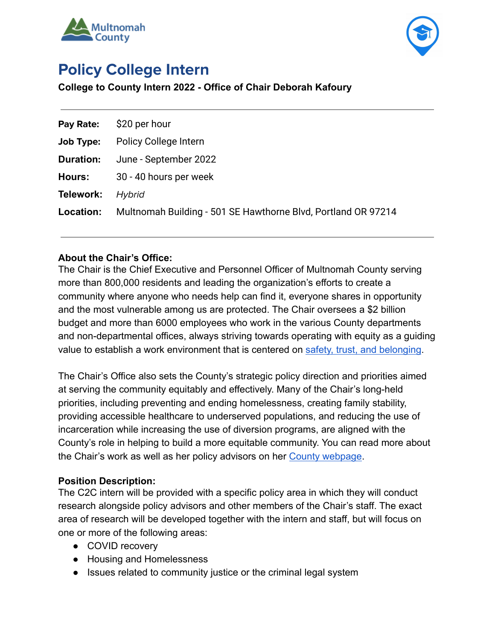



# **Policy College Intern**

**College to County Intern 2022 - Office of Chair Deborah Kafoury**

| Pay Rate: | \$20 per hour                                                 |
|-----------|---------------------------------------------------------------|
| Job Type: | <b>Policy College Intern</b>                                  |
|           | <b>Duration:</b> June - September 2022                        |
|           | <b>Hours:</b> 30 - 40 hours per week                          |
| Telework: | Hybrid                                                        |
| Location: | Multnomah Building - 501 SE Hawthorne Blvd, Portland OR 97214 |
|           |                                                               |

### **About the Chair's Office:**

The Chair is the Chief Executive and Personnel Officer of Multnomah County serving more than 800,000 residents and leading the organization's efforts to create a community where anyone who needs help can find it, everyone shares in opportunity and the most vulnerable among us are protected. The Chair oversees a \$2 billion budget and more than 6000 employees who work in the various County departments and non-departmental offices, always striving towards operating with equity as a guiding value to establish a work environment that is centered on [safety, trust, and belonging](https://multco.us/safety-trust-and-belonging-workforce-equity-initiative).

The Chair's Office also sets the County's strategic policy direction and priorities aimed at serving the community equitably and effectively. Many of the Chair's long-held priorities, including preventing and ending homelessness, creating family stability, providing accessible healthcare to underserved populations, and reducing the use of incarceration while increasing the use of diversion programs, are aligned with the County's role in helping to build a more equitable community. You can read more about the Chair's work as well as her policy advisors on her [County webpage.](https://multco.us/chair-kafoury)

#### **Position Description:**

The C2C intern will be provided with a specific policy area in which they will conduct research alongside policy advisors and other members of the Chair's staff. The exact area of research will be developed together with the intern and staff, but will focus on one or more of the following areas:

- COVID recovery
- Housing and Homelessness
- Issues related to community justice or the criminal legal system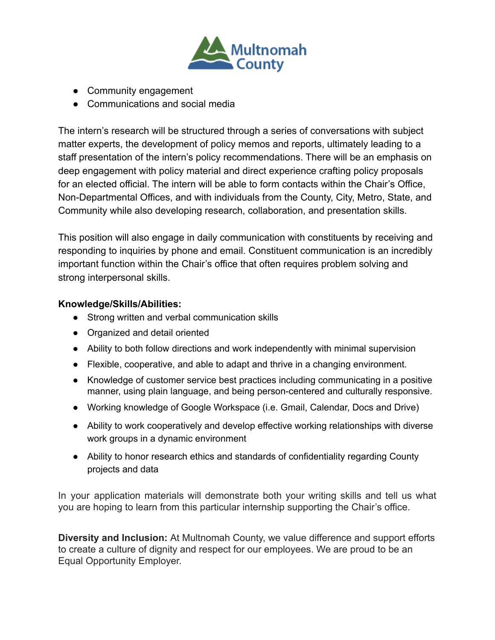

- Community engagement
- Communications and social media

The intern's research will be structured through a series of conversations with subject matter experts, the development of policy memos and reports, ultimately leading to a staff presentation of the intern's policy recommendations. There will be an emphasis on deep engagement with policy material and direct experience crafting policy proposals for an elected official. The intern will be able to form contacts within the Chair's Office, Non-Departmental Offices, and with individuals from the County, City, Metro, State, and Community while also developing research, collaboration, and presentation skills.

This position will also engage in daily communication with constituents by receiving and responding to inquiries by phone and email. Constituent communication is an incredibly important function within the Chair's office that often requires problem solving and strong interpersonal skills.

## **Knowledge/Skills/Abilities:**

- Strong written and verbal communication skills
- Organized and detail oriented
- Ability to both follow directions and work independently with minimal supervision
- Flexible, cooperative, and able to adapt and thrive in a changing environment.
- Knowledge of customer service best practices including communicating in a positive manner, using plain language, and being person-centered and culturally responsive.
- Working knowledge of Google Workspace (i.e. Gmail, Calendar, Docs and Drive)
- Ability to work cooperatively and develop effective working relationships with diverse work groups in a dynamic environment
- Ability to honor research ethics and standards of confidentiality regarding County projects and data

In your application materials will demonstrate both your writing skills and tell us what you are hoping to learn from this particular internship supporting the Chair's office.

**Diversity and Inclusion:** At Multnomah County, we value difference and support efforts to create a culture of dignity and respect for our employees. We are proud to be an Equal Opportunity Employer.